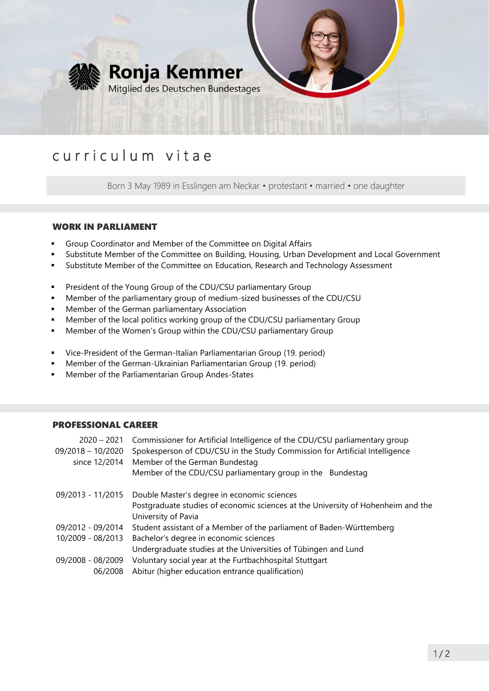

# curriculum vitae

Born 3 May 1989 in Esslingen am Neckar • protestant • married • one daughter

### WORK IN PARLIAMENT

- Group Coordinator and Member of the Committee on Digital Affairs
- Substitute Member of the Committee on Building, Housing, Urban Development and Local Government
- Substitute Member of the Committee on Education, Research and Technology Assessment
- **•** President of the Young Group of the CDU/CSU parliamentary Group
- Member of the parliamentary group of medium-sized businesses of the CDU/CSU
- **■** Member of the German parliamentary Association
- **■** Member of the local politics working group of the CDU/CSU parliamentary Group
- Member of the Women's Group within the CDU/CSU parliamentary Group
- Vice-President of the German-Italian Parliamentarian Group (19. period)
- Member of the German-Ukrainian Parliamentarian Group (19. period)
- Member of the Parliamentarian Group Andes-States

#### PROFESSIONAL CAREER

| $2020 - 2021$     | Commissioner for Artificial Intelligence of the CDU/CSU parliamentary group                             |
|-------------------|---------------------------------------------------------------------------------------------------------|
| 09/2018 - 10/2020 | Spokesperson of CDU/CSU in the Study Commission for Artificial Intelligence                             |
| since 12/2014     | Member of the German Bundestag                                                                          |
|                   | Member of the CDU/CSU parliamentary group in the Bundestag                                              |
| 09/2013 - 11/2015 | Double Master's degree in economic sciences                                                             |
|                   | Postgraduate studies of economic sciences at the University of Hohenheim and the<br>University of Pavia |
| 09/2012 - 09/2014 | Student assistant of a Member of the parliament of Baden-Württemberg                                    |
| 10/2009 - 08/2013 | Bachelor's degree in economic sciences                                                                  |
|                   | Undergraduate studies at the Universities of Tübingen and Lund                                          |
| 09/2008 - 08/2009 | Voluntary social year at the Furtbachhospital Stuttgart                                                 |
| 06/2008           | Abitur (higher education entrance qualification)                                                        |